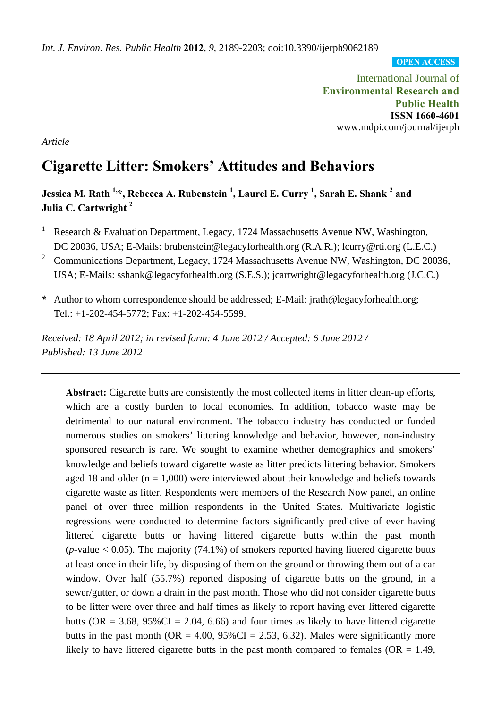**OPEN ACCESS**

International Journal of **Environmental Research and Public Health ISSN 1660-4601**  www.mdpi.com/journal/ijerph

*Article* 

# **Cigarette Litter: Smokers' Attitudes and Behaviors**

# **Jessica M. Rath <sup>1,</sup>\*, Rebecca A. Rubenstein <sup>1</sup>, Laurel E. Curry <sup>1</sup>, Sarah E. Shank <sup>2</sup> and Julia C. Cartwright <sup>2</sup>**

- 1 Research & Evaluation Department, Legacy, 1724 Massachusetts Avenue NW, Washington, DC 20036, USA; E-Mails: brubenstein@legacyforhealth.org (R.A.R.); lcurry@rti.org (L.E.C.)
- <sup>2</sup> Communications Department, Legacy, 1724 Massachusetts Avenue NW, Washington, DC 20036, USA; E-Mails: sshank@legacyforhealth.org (S.E.S.); jcartwright@legacyforhealth.org (J.C.C.)
- **\*** Author to whom correspondence should be addressed; E-Mail: jrath@legacyforhealth.org; Tel.: +1-202-454-5772; Fax: +1-202-454-5599.

*Received: 18 April 2012; in revised form: 4 June 2012 / Accepted: 6 June 2012 / Published: 13 June 2012* 

**Abstract:** Cigarette butts are consistently the most collected items in litter clean-up efforts, which are a costly burden to local economies. In addition, tobacco waste may be detrimental to our natural environment. The tobacco industry has conducted or funded numerous studies on smokers' littering knowledge and behavior, however, non-industry sponsored research is rare. We sought to examine whether demographics and smokers' knowledge and beliefs toward cigarette waste as litter predicts littering behavior. Smokers aged 18 and older ( $n = 1,000$ ) were interviewed about their knowledge and beliefs towards cigarette waste as litter. Respondents were members of the Research Now panel, an online panel of over three million respondents in the United States. Multivariate logistic regressions were conducted to determine factors significantly predictive of ever having littered cigarette butts or having littered cigarette butts within the past month ( $p$ -value  $< 0.05$ ). The majority (74.1%) of smokers reported having littered cigarette butts at least once in their life, by disposing of them on the ground or throwing them out of a car window. Over half (55.7%) reported disposing of cigarette butts on the ground, in a sewer/gutter, or down a drain in the past month. Those who did not consider cigarette butts to be litter were over three and half times as likely to report having ever littered cigarette butts ( $OR = 3.68$ ,  $95\%CI = 2.04$ , 6.66) and four times as likely to have littered cigarette butts in the past month ( $OR = 4.00$ ,  $95\% CI = 2.53$ , 6.32). Males were significantly more likely to have littered cigarette butts in the past month compared to females ( $OR = 1.49$ ,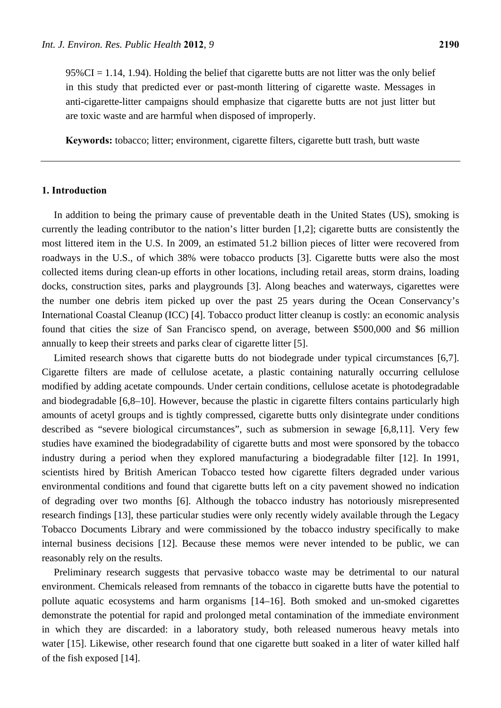$95\%CI = 1.14$ , 1.94). Holding the belief that cigarette butts are not litter was the only belief in this study that predicted ever or past-month littering of cigarette waste. Messages in anti-cigarette-litter campaigns should emphasize that cigarette butts are not just litter but are toxic waste and are harmful when disposed of improperly.

**Keywords:** tobacco; litter; environment, cigarette filters, cigarette butt trash, butt waste

## **1. Introduction**

In addition to being the primary cause of preventable death in the United States (US), smoking is currently the leading contributor to the nation's litter burden [1,2]; cigarette butts are consistently the most littered item in the U.S. In 2009, an estimated 51.2 billion pieces of litter were recovered from roadways in the U.S., of which 38% were tobacco products [3]. Cigarette butts were also the most collected items during clean-up efforts in other locations, including retail areas, storm drains, loading docks, construction sites, parks and playgrounds [3]. Along beaches and waterways, cigarettes were the number one debris item picked up over the past 25 years during the Ocean Conservancy's International Coastal Cleanup (ICC) [4]. Tobacco product litter cleanup is costly: an economic analysis found that cities the size of San Francisco spend, on average, between \$500,000 and \$6 million annually to keep their streets and parks clear of cigarette litter [5].

Limited research shows that cigarette butts do not biodegrade under typical circumstances [6,7]. Cigarette filters are made of cellulose acetate, a plastic containing naturally occurring cellulose modified by adding acetate compounds. Under certain conditions, cellulose acetate is photodegradable and biodegradable [6,8–10]. However, because the plastic in cigarette filters contains particularly high amounts of acetyl groups and is tightly compressed, cigarette butts only disintegrate under conditions described as "severe biological circumstances", such as submersion in sewage [6,8,11]. Very few studies have examined the biodegradability of cigarette butts and most were sponsored by the tobacco industry during a period when they explored manufacturing a biodegradable filter [12]. In 1991, scientists hired by British American Tobacco tested how cigarette filters degraded under various environmental conditions and found that cigarette butts left on a city pavement showed no indication of degrading over two months [6]. Although the tobacco industry has notoriously misrepresented research findings [13], these particular studies were only recently widely available through the Legacy Tobacco Documents Library and were commissioned by the tobacco industry specifically to make internal business decisions [12]. Because these memos were never intended to be public, we can reasonably rely on the results.

Preliminary research suggests that pervasive tobacco waste may be detrimental to our natural environment. Chemicals released from remnants of the tobacco in cigarette butts have the potential to pollute aquatic ecosystems and harm organisms [14–16]. Both smoked and un-smoked cigarettes demonstrate the potential for rapid and prolonged metal contamination of the immediate environment in which they are discarded: in a laboratory study, both released numerous heavy metals into water [15]. Likewise, other research found that one cigarette butt soaked in a liter of water killed half of the fish exposed [14].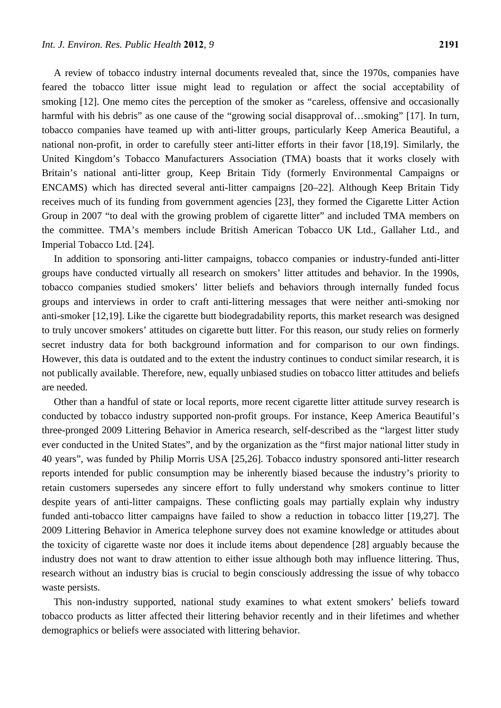A review of tobacco industry internal documents revealed that, since the 1970s, companies have feared the tobacco litter issue might lead to regulation or affect the social acceptability of smoking [12]. One memo cites the perception of the smoker as "careless, offensive and occasionally harmful with his debris" as one cause of the "growing social disapproval of...smoking" [17]. In turn, tobacco companies have teamed up with anti-litter groups, particularly Keep America Beautiful, a national non-profit, in order to carefully steer anti-litter efforts in their favor [18,19]. Similarly, the United Kingdom's Tobacco Manufacturers Association (TMA) boasts that it works closely with Britain's national anti-litter group, Keep Britain Tidy (formerly Environmental Campaigns or ENCAMS) which has directed several anti-litter campaigns [20–22]. Although Keep Britain Tidy receives much of its funding from government agencies [23], they formed the Cigarette Litter Action Group in 2007 "to deal with the growing problem of cigarette litter" and included TMA members on the committee. TMA's members include British American Tobacco UK Ltd., Gallaher Ltd., and Imperial Tobacco Ltd. [24].

In addition to sponsoring anti-litter campaigns, tobacco companies or industry-funded anti-litter groups have conducted virtually all research on smokers' litter attitudes and behavior. In the 1990s, tobacco companies studied smokers' litter beliefs and behaviors through internally funded focus groups and interviews in order to craft anti-littering messages that were neither anti-smoking nor anti-smoker [12,19]. Like the cigarette butt biodegradability reports, this market research was designed to truly uncover smokers' attitudes on cigarette butt litter. For this reason, our study relies on formerly secret industry data for both background information and for comparison to our own findings. However, this data is outdated and to the extent the industry continues to conduct similar research, it is not publically available. Therefore, new, equally unbiased studies on tobacco litter attitudes and beliefs are needed.

Other than a handful of state or local reports, more recent cigarette litter attitude survey research is conducted by tobacco industry supported non-profit groups. For instance, Keep America Beautiful's three-pronged 2009 Littering Behavior in America research, self-described as the "largest litter study ever conducted in the United States", and by the organization as the "first major national litter study in 40 years", was funded by Philip Morris USA [25,26]. Tobacco industry sponsored anti-litter research reports intended for public consumption may be inherently biased because the industry's priority to retain customers supersedes any sincere effort to fully understand why smokers continue to litter despite years of anti-litter campaigns. These conflicting goals may partially explain why industry funded anti-tobacco litter campaigns have failed to show a reduction in tobacco litter [19,27]. The 2009 Littering Behavior in America telephone survey does not examine knowledge or attitudes about the toxicity of cigarette waste nor does it include items about dependence [28] arguably because the industry does not want to draw attention to either issue although both may influence littering. Thus, research without an industry bias is crucial to begin consciously addressing the issue of why tobacco waste persists.

This non-industry supported, national study examines to what extent smokers' beliefs toward tobacco products as litter affected their littering behavior recently and in their lifetimes and whether demographics or beliefs were associated with littering behavior.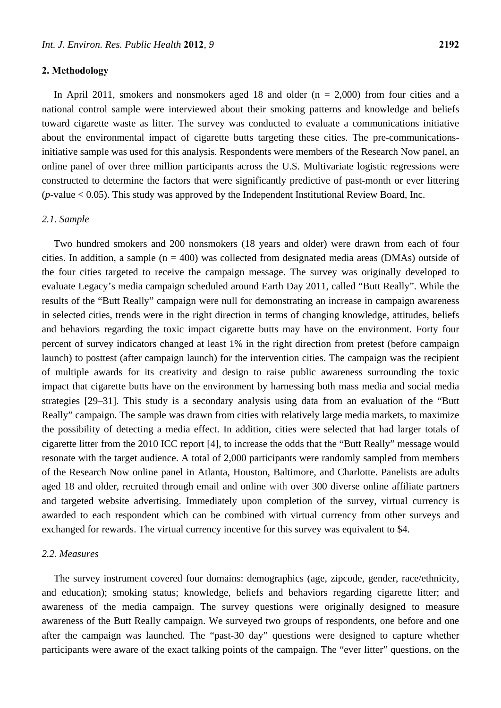## **2. Methodology**

In April 2011, smokers and nonsmokers aged 18 and older  $(n = 2,000)$  from four cities and a national control sample were interviewed about their smoking patterns and knowledge and beliefs toward cigarette waste as litter. The survey was conducted to evaluate a communications initiative about the environmental impact of cigarette butts targeting these cities. The pre-communicationsinitiative sample was used for this analysis. Respondents were members of the Research Now panel, an online panel of over three million participants across the U.S. Multivariate logistic regressions were constructed to determine the factors that were significantly predictive of past-month or ever littering  $(p$ -value  $< 0.05)$ . This study was approved by the Independent Institutional Review Board, Inc.

## *2.1. Sample*

Two hundred smokers and 200 nonsmokers (18 years and older) were drawn from each of four cities. In addition, a sample ( $n = 400$ ) was collected from designated media areas (DMAs) outside of the four cities targeted to receive the campaign message. The survey was originally developed to evaluate Legacy's media campaign scheduled around Earth Day 2011, called "Butt Really". While the results of the "Butt Really" campaign were null for demonstrating an increase in campaign awareness in selected cities, trends were in the right direction in terms of changing knowledge, attitudes, beliefs and behaviors regarding the toxic impact cigarette butts may have on the environment. Forty four percent of survey indicators changed at least 1% in the right direction from pretest (before campaign launch) to posttest (after campaign launch) for the intervention cities. The campaign was the recipient of multiple awards for its creativity and design to raise public awareness surrounding the toxic impact that cigarette butts have on the environment by harnessing both mass media and social media strategies [29–31]. This study is a secondary analysis using data from an evaluation of the "Butt Really" campaign. The sample was drawn from cities with relatively large media markets, to maximize the possibility of detecting a media effect. In addition, cities were selected that had larger totals of cigarette litter from the 2010 ICC report [4], to increase the odds that the "Butt Really" message would resonate with the target audience. A total of 2,000 participants were randomly sampled from members of the Research Now online panel in Atlanta, Houston, Baltimore, and Charlotte. Panelists are adults aged 18 and older, recruited through email and online with over 300 diverse online affiliate partners and targeted website advertising. Immediately upon completion of the survey, virtual currency is awarded to each respondent which can be combined with virtual currency from other surveys and exchanged for rewards. The virtual currency incentive for this survey was equivalent to \$4.

# *2.2. Measures*

The survey instrument covered four domains: demographics (age, zipcode, gender, race/ethnicity, and education); smoking status; knowledge, beliefs and behaviors regarding cigarette litter; and awareness of the media campaign. The survey questions were originally designed to measure awareness of the Butt Really campaign. We surveyed two groups of respondents, one before and one after the campaign was launched. The "past-30 day" questions were designed to capture whether participants were aware of the exact talking points of the campaign. The "ever litter" questions, on the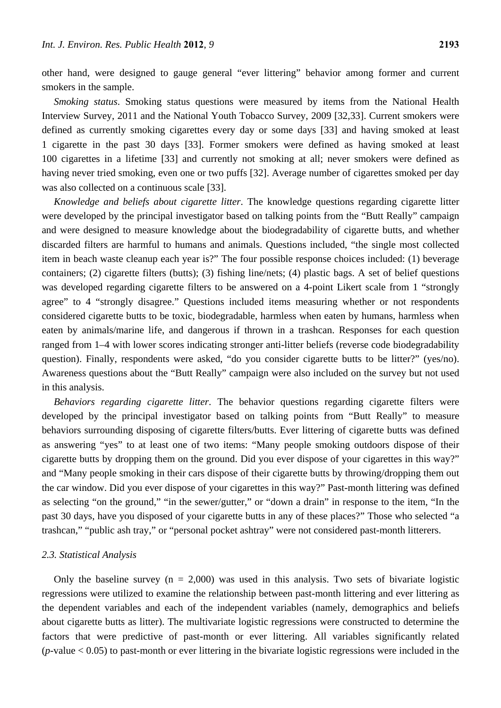other hand, were designed to gauge general "ever littering" behavior among former and current smokers in the sample.

*Smoking status*. Smoking status questions were measured by items from the National Health Interview Survey, 2011 and the National Youth Tobacco Survey, 2009 [32,33]. Current smokers were defined as currently smoking cigarettes every day or some days [33] and having smoked at least 1 cigarette in the past 30 days [33]. Former smokers were defined as having smoked at least 100 cigarettes in a lifetime [33] and currently not smoking at all; never smokers were defined as having never tried smoking, even one or two puffs [32]. Average number of cigarettes smoked per day was also collected on a continuous scale [33].

*Knowledge and beliefs about cigarette litter*. The knowledge questions regarding cigarette litter were developed by the principal investigator based on talking points from the "Butt Really" campaign and were designed to measure knowledge about the biodegradability of cigarette butts, and whether discarded filters are harmful to humans and animals. Questions included, "the single most collected item in beach waste cleanup each year is?" The four possible response choices included: (1) beverage containers; (2) cigarette filters (butts); (3) fishing line/nets; (4) plastic bags. A set of belief questions was developed regarding cigarette filters to be answered on a 4-point Likert scale from 1 "strongly agree" to 4 "strongly disagree." Questions included items measuring whether or not respondents considered cigarette butts to be toxic, biodegradable, harmless when eaten by humans, harmless when eaten by animals/marine life, and dangerous if thrown in a trashcan. Responses for each question ranged from 1–4 with lower scores indicating stronger anti-litter beliefs (reverse code biodegradability question). Finally, respondents were asked, "do you consider cigarette butts to be litter?" (yes/no). Awareness questions about the "Butt Really" campaign were also included on the survey but not used in this analysis.

*Behaviors regarding cigarette litter*. The behavior questions regarding cigarette filters were developed by the principal investigator based on talking points from "Butt Really" to measure behaviors surrounding disposing of cigarette filters/butts. Ever littering of cigarette butts was defined as answering "yes" to at least one of two items: "Many people smoking outdoors dispose of their cigarette butts by dropping them on the ground. Did you ever dispose of your cigarettes in this way?" and "Many people smoking in their cars dispose of their cigarette butts by throwing/dropping them out the car window. Did you ever dispose of your cigarettes in this way?" Past-month littering was defined as selecting "on the ground," "in the sewer/gutter," or "down a drain" in response to the item, "In the past 30 days, have you disposed of your cigarette butts in any of these places?" Those who selected "a trashcan," "public ash tray," or "personal pocket ashtray" were not considered past-month litterers.

#### *2.3. Statistical Analysis*

Only the baseline survey ( $n = 2,000$ ) was used in this analysis. Two sets of bivariate logistic regressions were utilized to examine the relationship between past-month littering and ever littering as the dependent variables and each of the independent variables (namely, demographics and beliefs about cigarette butts as litter). The multivariate logistic regressions were constructed to determine the factors that were predictive of past-month or ever littering. All variables significantly related (*p*-value < 0.05) to past-month or ever littering in the bivariate logistic regressions were included in the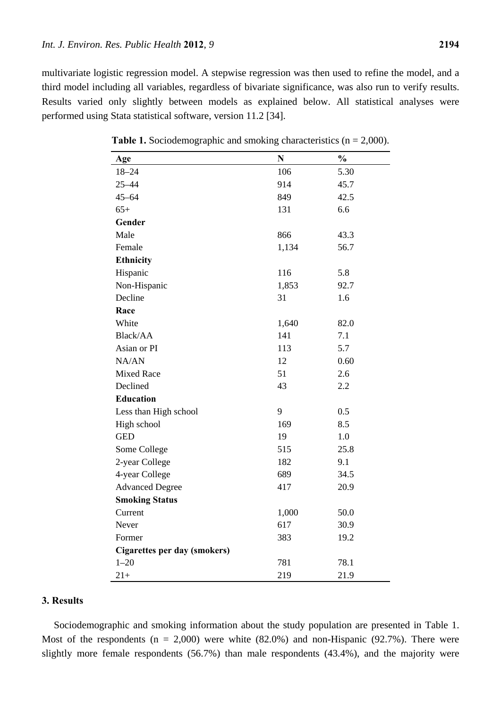multivariate logistic regression model. A stepwise regression was then used to refine the model, and a third model including all variables, regardless of bivariate significance, was also run to verify results. Results varied only slightly between models as explained below. All statistical analyses were performed using Stata statistical software, version 11.2 [34].

| Age                          | N     | $\frac{1}{2}$ |
|------------------------------|-------|---------------|
| $18 - 24$                    | 106   | 5.30          |
| $25 - 44$                    | 914   | 45.7          |
| $45 - 64$                    | 849   | 42.5          |
| $65+$                        | 131   | 6.6           |
| Gender                       |       |               |
| Male                         | 866   | 43.3          |
| Female                       | 1,134 | 56.7          |
| <b>Ethnicity</b>             |       |               |
| Hispanic                     | 116   | 5.8           |
| Non-Hispanic                 | 1,853 | 92.7          |
| Decline                      | 31    | 1.6           |
| Race                         |       |               |
| White                        | 1,640 | 82.0          |
| Black/AA                     | 141   | 7.1           |
| Asian or PI                  | 113   | 5.7           |
| NA/AN                        | 12    | 0.60          |
| <b>Mixed Race</b>            | 51    | 2.6           |
| Declined                     | 43    | 2.2           |
| <b>Education</b>             |       |               |
| Less than High school        | 9     | 0.5           |
| High school                  | 169   | 8.5           |
| <b>GED</b>                   | 19    | 1.0           |
| Some College                 | 515   | 25.8          |
| 2-year College               | 182   | 9.1           |
| 4-year College               | 689   | 34.5          |
| <b>Advanced Degree</b>       | 417   | 20.9          |
| <b>Smoking Status</b>        |       |               |
| Current                      | 1,000 | 50.0          |
| Never                        | 617   | 30.9          |
| Former                       | 383   | 19.2          |
| Cigarettes per day (smokers) |       |               |
| $1 - 20$                     | 781   | 78.1          |
| $21+$                        | 219   | 21.9          |

**Table 1.** Sociodemographic and smoking characteristics (n = 2,000).

# **3. Results**

Ē,

Sociodemographic and smoking information about the study population are presented in Table 1. Most of the respondents  $(n = 2,000)$  were white  $(82.0%)$  and non-Hispanic  $(92.7%)$ . There were slightly more female respondents (56.7%) than male respondents (43.4%), and the majority were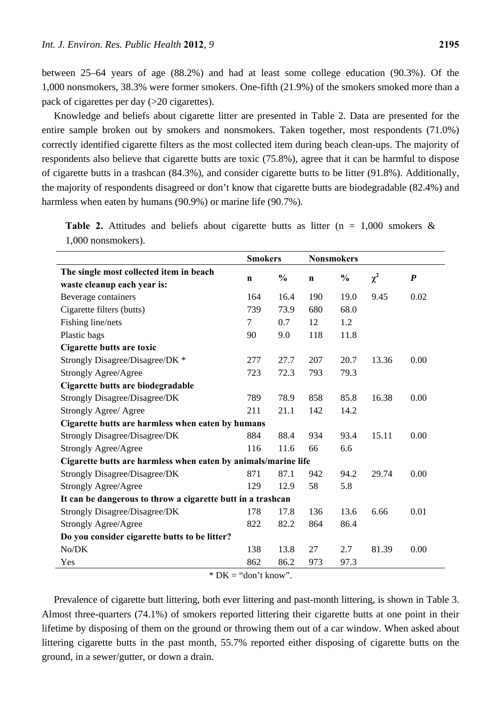between 25–64 years of age (88.2%) and had at least some college education (90.3%). Of the 1,000 nonsmokers, 38.3% were former smokers. One-fifth (21.9%) of the smokers smoked more than a pack of cigarettes per day (>20 cigarettes).

Knowledge and beliefs about cigarette litter are presented in Table 2. Data are presented for the entire sample broken out by smokers and nonsmokers. Taken together, most respondents (71.0%) correctly identified cigarette filters as the most collected item during beach clean-ups. The majority of respondents also believe that cigarette butts are toxic (75.8%), agree that it can be harmful to dispose of cigarette butts in a trashcan (84.3%), and consider cigarette butts to be litter (91.8%). Additionally, the majority of respondents disagreed or don't know that cigarette butts are biodegradable (82.4%) and harmless when eaten by humans (90.9%) or marine life (90.7%).

|                                                                | <b>Smokers</b> |               | <b>Nonsmokers</b> |               |          |                  |
|----------------------------------------------------------------|----------------|---------------|-------------------|---------------|----------|------------------|
| The single most collected item in beach                        |                | $\frac{0}{0}$ |                   | $\frac{0}{0}$ | $\chi^2$ | $\boldsymbol{P}$ |
| waste cleanup each year is:                                    | $\mathbf n$    |               | $\mathbf n$       |               |          |                  |
| Beverage containers                                            | 164            | 16.4          | 190               | 19.0          | 9.45     | 0.02             |
| Cigarette filters (butts)                                      | 739            | 73.9          | 680               | 68.0          |          |                  |
| Fishing line/nets                                              | 7              | 0.7           | 12                | 1.2           |          |                  |
| Plastic bags                                                   | 90             | 9.0           | 118               | 11.8          |          |                  |
| Cigarette butts are toxic                                      |                |               |                   |               |          |                  |
| Strongly Disagree/Disagree/DK *                                | 277            | 27.7          | 207               | 20.7          | 13.36    | 0.00             |
| <b>Strongly Agree/Agree</b>                                    | 723            | 72.3          | 793               | 79.3          |          |                  |
| Cigarette butts are biodegradable                              |                |               |                   |               |          |                  |
| Strongly Disagree/Disagree/DK                                  | 789            | 78.9          | 858               | 85.8          | 16.38    | 0.00             |
| <b>Strongly Agree/ Agree</b>                                   | 211            | 21.1          | 142               | 14.2          |          |                  |
| Cigarette butts are harmless when eaten by humans              |                |               |                   |               |          |                  |
| <b>Strongly Disagree/Disagree/DK</b>                           | 884            | 88.4          | 934               | 93.4          | 15.11    | 0.00             |
| <b>Strongly Agree/Agree</b>                                    | 116            | 11.6          | 66                | 6.6           |          |                  |
| Cigarette butts are harmless when eaten by animals/marine life |                |               |                   |               |          |                  |
| <b>Strongly Disagree/Disagree/DK</b>                           | 871            | 87.1          | 942               | 94.2          | 29.74    | 0.00             |
| <b>Strongly Agree/Agree</b>                                    | 129            | 12.9          | 58                | 5.8           |          |                  |
| It can be dangerous to throw a cigarette butt in a trashcan    |                |               |                   |               |          |                  |
| <b>Strongly Disagree/Disagree/DK</b>                           | 178            | 17.8          | 136               | 13.6          | 6.66     | 0.01             |
| <b>Strongly Agree/Agree</b>                                    | 822            | 82.2          | 864               | 86.4          |          |                  |
| Do you consider cigarette butts to be litter?                  |                |               |                   |               |          |                  |
| No/DK                                                          | 138            | 13.8          | 27                | 2.7           | 81.39    | 0.00             |
| Yes                                                            | 862            | 86.2          | 973               | 97.3          |          |                  |

**Table 2.** Attitudes and beliefs about cigarette butts as litter  $(n = 1,000)$  smokers & 1,000 nonsmokers).

 $*$  DK = "don't know".

Prevalence of cigarette butt littering, both ever littering and past-month littering, is shown in Table 3. Almost three-quarters (74.1%) of smokers reported littering their cigarette butts at one point in their lifetime by disposing of them on the ground or throwing them out of a car window. When asked about littering cigarette butts in the past month, 55.7% reported either disposing of cigarette butts on the ground, in a sewer/gutter, or down a drain.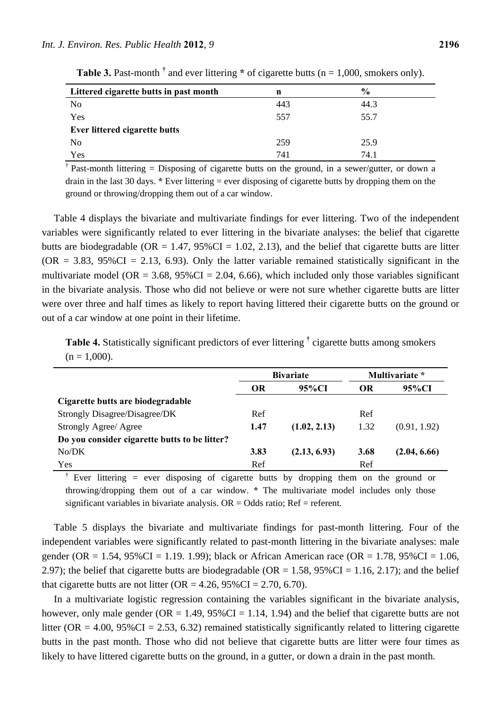| Littered cigarette butts in past month | n   | $\frac{0}{0}$ |  |
|----------------------------------------|-----|---------------|--|
| N <sub>0</sub>                         | 443 | 44.3          |  |
| Yes                                    | 557 | 55.7          |  |
| Ever littered cigarette butts          |     |               |  |
| N <sub>0</sub>                         | 259 | 25.9          |  |
| Yes                                    | 741 | 74.1          |  |

**Table 3.** Past-month  $\dagger$  and ever littering  $*$  of cigarette butts (n = 1,000, smokers only).

<sup>†</sup> Past-month littering = Disposing of cigarette butts on the ground, in a sewer/gutter, or down a drain in the last 30 days. **\*** Ever littering = ever disposing of cigarette butts by dropping them on the ground or throwing/dropping them out of a car window.

Table 4 displays the bivariate and multivariate findings for ever littering. Two of the independent variables were significantly related to ever littering in the bivariate analyses: the belief that cigarette butts are biodegradable ( $OR = 1.47$ ,  $95\%CI = 1.02$ , 2.13), and the belief that cigarette butts are litter  $(OR = 3.83, 95\%CI = 2.13, 6.93)$ . Only the latter variable remained statistically significant in the multivariate model (OR =  $3.68$ ,  $95\%$ CI = 2.04, 6.66), which included only those variables significant in the bivariate analysis. Those who did not believe or were not sure whether cigarette butts are litter were over three and half times as likely to report having littered their cigarette butts on the ground or out of a car window at one point in their lifetime.

**Table 4.** Statistically significant predictors of ever littering **†** cigarette butts among smokers  $(n = 1,000)$ .

|                                               | <b>Bivariate</b> |              |           | Multivariate * |
|-----------------------------------------------|------------------|--------------|-----------|----------------|
|                                               | <b>OR</b>        | 95%CI        | <b>OR</b> | 95%CI          |
| Cigarette butts are biodegradable             |                  |              |           |                |
| Strongly Disagree/Disagree/DK                 | Ref              |              | Ref       |                |
| Strongly Agree/ Agree                         | 1.47             | (1.02, 2.13) | 1.32      | (0.91, 1.92)   |
| Do you consider cigarette butts to be litter? |                  |              |           |                |
| No/DK                                         | 3.83             | (2.13, 6.93) | 3.68      | (2.04, 6.66)   |
| Yes                                           | Ref              |              | Ref       |                |

Ever littering  $=$  ever disposing of cigarette butts by dropping them on the ground or throwing/dropping them out of a car window. **\*** The multivariate model includes only those significant variables in bivariate analysis. OR = Odds ratio; Ref = referent.

Table 5 displays the bivariate and multivariate findings for past-month littering. Four of the independent variables were significantly related to past-month littering in the bivariate analyses: male gender (OR = 1.54,  $95\%$ CI = 1.19. 1.99); black or African American race (OR = 1.78,  $95\%$ CI = 1.06, 2.97); the belief that cigarette butts are biodegradable ( $OR = 1.58$ ,  $95\%CI = 1.16$ , 2.17); and the belief that cigarette butts are not litter (OR =  $4.26$ ,  $95\%$ CI =  $2.70$ ,  $6.70$ ).

In a multivariate logistic regression containing the variables significant in the bivariate analysis, however, only male gender (OR = 1.49,  $95\%CI = 1.14$ , 1.94) and the belief that cigarette butts are not litter (OR = 4.00,  $95\%$ CI = 2.53, 6.32) remained statistically significantly related to littering cigarette butts in the past month. Those who did not believe that cigarette butts are litter were four times as likely to have littered cigarette butts on the ground, in a gutter, or down a drain in the past month.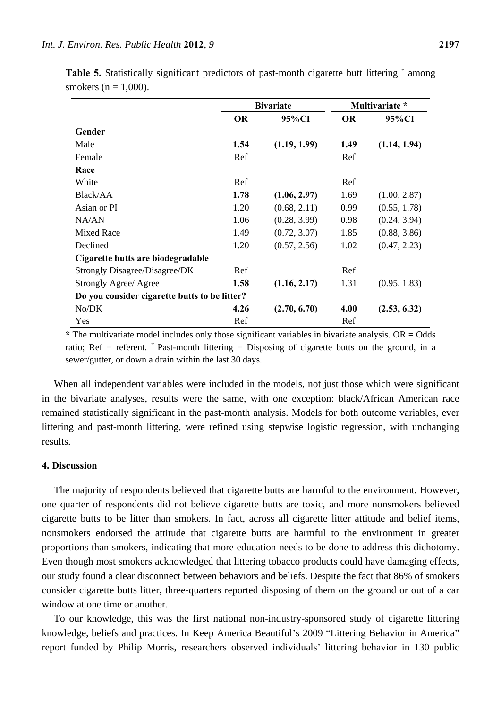|                                               |           | <b>Bivariate</b> | Multivariate * |              |  |  |
|-----------------------------------------------|-----------|------------------|----------------|--------------|--|--|
|                                               | <b>OR</b> | 95%CI            | <b>OR</b>      | 95%CI        |  |  |
| Gender                                        |           |                  |                |              |  |  |
| Male                                          | 1.54      | (1.19, 1.99)     | 1.49           | (1.14, 1.94) |  |  |
| Female                                        | Ref       |                  | Ref            |              |  |  |
| Race                                          |           |                  |                |              |  |  |
| White                                         | Ref       |                  | Ref            |              |  |  |
| Black/AA                                      | 1.78      | (1.06, 2.97)     | 1.69           | (1.00, 2.87) |  |  |
| Asian or PI                                   | 1.20      | (0.68, 2.11)     | 0.99           | (0.55, 1.78) |  |  |
| NA/AN                                         | 1.06      | (0.28, 3.99)     | 0.98           | (0.24, 3.94) |  |  |
| <b>Mixed Race</b>                             | 1.49      | (0.72, 3.07)     | 1.85           | (0.88, 3.86) |  |  |
| Declined                                      | 1.20      | (0.57, 2.56)     | 1.02           | (0.47, 2.23) |  |  |
| Cigarette butts are biodegradable             |           |                  |                |              |  |  |
| Strongly Disagree/Disagree/DK                 | Ref       |                  | Ref            |              |  |  |
| Strongly Agree/ Agree                         | 1.58      | (1.16, 2.17)     | 1.31           | (0.95, 1.83) |  |  |
| Do you consider cigarette butts to be litter? |           |                  |                |              |  |  |
| No/DK                                         | 4.26      | (2.70, 6.70)     | 4.00           | (2.53, 6.32) |  |  |
| Yes                                           | Ref       |                  | Ref            |              |  |  |

**Table 5.** Statistically significant predictors of past-month cigarette butt littering <sup>†</sup> among smokers ( $n = 1,000$ ).

**\*** The multivariate model includes only those significant variables in bivariate analysis. OR = Odds ratio; Ref = referent. <sup>†</sup> Past-month littering = Disposing of cigarette butts on the ground, in a sewer/gutter, or down a drain within the last 30 days.

When all independent variables were included in the models, not just those which were significant in the bivariate analyses, results were the same, with one exception: black/African American race remained statistically significant in the past-month analysis. Models for both outcome variables, ever littering and past-month littering, were refined using stepwise logistic regression, with unchanging results.

# **4. Discussion**

The majority of respondents believed that cigarette butts are harmful to the environment. However, one quarter of respondents did not believe cigarette butts are toxic, and more nonsmokers believed cigarette butts to be litter than smokers. In fact, across all cigarette litter attitude and belief items, nonsmokers endorsed the attitude that cigarette butts are harmful to the environment in greater proportions than smokers, indicating that more education needs to be done to address this dichotomy. Even though most smokers acknowledged that littering tobacco products could have damaging effects, our study found a clear disconnect between behaviors and beliefs. Despite the fact that 86% of smokers consider cigarette butts litter, three-quarters reported disposing of them on the ground or out of a car window at one time or another.

To our knowledge, this was the first national non-industry-sponsored study of cigarette littering knowledge, beliefs and practices. In Keep America Beautiful's 2009 "Littering Behavior in America" report funded by Philip Morris, researchers observed individuals' littering behavior in 130 public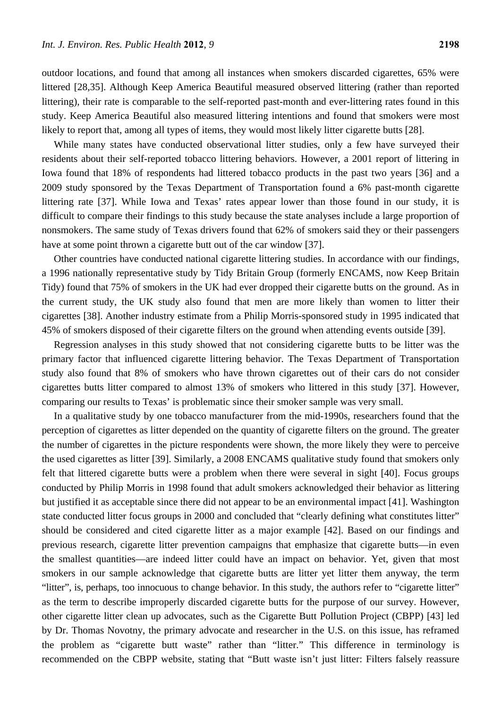outdoor locations, and found that among all instances when smokers discarded cigarettes, 65% were littered [28,35]. Although Keep America Beautiful measured observed littering (rather than reported littering), their rate is comparable to the self-reported past-month and ever-littering rates found in this study. Keep America Beautiful also measured littering intentions and found that smokers were most likely to report that, among all types of items, they would most likely litter cigarette butts [28].

While many states have conducted observational litter studies, only a few have surveyed their residents about their self-reported tobacco littering behaviors. However, a 2001 report of littering in Iowa found that 18% of respondents had littered tobacco products in the past two years [36] and a 2009 study sponsored by the Texas Department of Transportation found a 6% past-month cigarette littering rate [37]. While Iowa and Texas' rates appear lower than those found in our study, it is difficult to compare their findings to this study because the state analyses include a large proportion of nonsmokers. The same study of Texas drivers found that 62% of smokers said they or their passengers have at some point thrown a cigarette butt out of the car window [37].

Other countries have conducted national cigarette littering studies. In accordance with our findings, a 1996 nationally representative study by Tidy Britain Group (formerly ENCAMS, now Keep Britain Tidy) found that 75% of smokers in the UK had ever dropped their cigarette butts on the ground. As in the current study, the UK study also found that men are more likely than women to litter their cigarettes [38]. Another industry estimate from a Philip Morris-sponsored study in 1995 indicated that 45% of smokers disposed of their cigarette filters on the ground when attending events outside [39].

Regression analyses in this study showed that not considering cigarette butts to be litter was the primary factor that influenced cigarette littering behavior. The Texas Department of Transportation study also found that 8% of smokers who have thrown cigarettes out of their cars do not consider cigarettes butts litter compared to almost 13% of smokers who littered in this study [37]. However, comparing our results to Texas' is problematic since their smoker sample was very small.

In a qualitative study by one tobacco manufacturer from the mid-1990s, researchers found that the perception of cigarettes as litter depended on the quantity of cigarette filters on the ground. The greater the number of cigarettes in the picture respondents were shown, the more likely they were to perceive the used cigarettes as litter [39]. Similarly, a 2008 ENCAMS qualitative study found that smokers only felt that littered cigarette butts were a problem when there were several in sight [40]. Focus groups conducted by Philip Morris in 1998 found that adult smokers acknowledged their behavior as littering but justified it as acceptable since there did not appear to be an environmental impact [41]. Washington state conducted litter focus groups in 2000 and concluded that "clearly defining what constitutes litter" should be considered and cited cigarette litter as a major example [42]. Based on our findings and previous research, cigarette litter prevention campaigns that emphasize that cigarette butts—in even the smallest quantities—are indeed litter could have an impact on behavior. Yet, given that most smokers in our sample acknowledge that cigarette butts are litter yet litter them anyway, the term "litter", is, perhaps, too innocuous to change behavior. In this study, the authors refer to "cigarette litter" as the term to describe improperly discarded cigarette butts for the purpose of our survey. However, other cigarette litter clean up advocates, such as the Cigarette Butt Pollution Project (CBPP) [43] led by Dr. Thomas Novotny, the primary advocate and researcher in the U.S. on this issue, has reframed the problem as "cigarette butt waste" rather than "litter." This difference in terminology is recommended on the CBPP website, stating that "Butt waste isn't just litter: Filters falsely reassure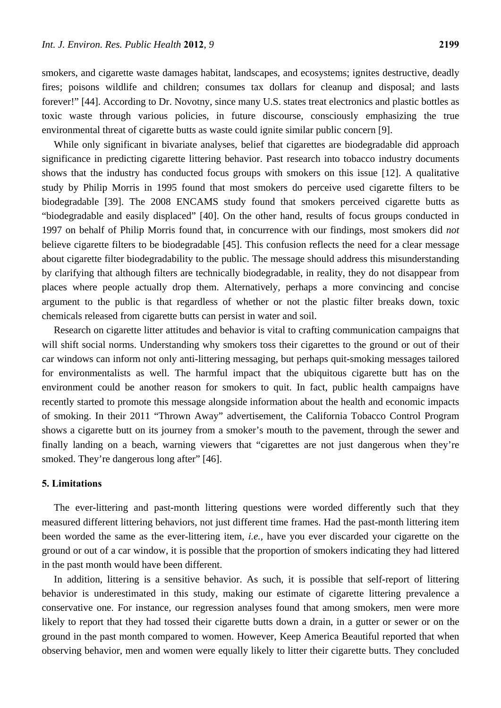smokers, and cigarette waste damages habitat, landscapes, and ecosystems; ignites destructive, deadly fires; poisons wildlife and children; consumes tax dollars for cleanup and disposal; and lasts forever!" [44]. According to Dr. Novotny, since many U.S. states treat electronics and plastic bottles as toxic waste through various policies, in future discourse, consciously emphasizing the true environmental threat of cigarette butts as waste could ignite similar public concern [9].

While only significant in bivariate analyses, belief that cigarettes are biodegradable did approach significance in predicting cigarette littering behavior. Past research into tobacco industry documents shows that the industry has conducted focus groups with smokers on this issue [12]. A qualitative study by Philip Morris in 1995 found that most smokers do perceive used cigarette filters to be biodegradable [39]. The 2008 ENCAMS study found that smokers perceived cigarette butts as "biodegradable and easily displaced" [40]. On the other hand, results of focus groups conducted in 1997 on behalf of Philip Morris found that, in concurrence with our findings, most smokers did *not* believe cigarette filters to be biodegradable [45]. This confusion reflects the need for a clear message about cigarette filter biodegradability to the public. The message should address this misunderstanding by clarifying that although filters are technically biodegradable, in reality, they do not disappear from places where people actually drop them. Alternatively, perhaps a more convincing and concise argument to the public is that regardless of whether or not the plastic filter breaks down, toxic chemicals released from cigarette butts can persist in water and soil.

Research on cigarette litter attitudes and behavior is vital to crafting communication campaigns that will shift social norms. Understanding why smokers toss their cigarettes to the ground or out of their car windows can inform not only anti-littering messaging, but perhaps quit-smoking messages tailored for environmentalists as well. The harmful impact that the ubiquitous cigarette butt has on the environment could be another reason for smokers to quit. In fact, public health campaigns have recently started to promote this message alongside information about the health and economic impacts of smoking. In their 2011 "Thrown Away" advertisement, the California Tobacco Control Program shows a cigarette butt on its journey from a smoker's mouth to the pavement, through the sewer and finally landing on a beach, warning viewers that "cigarettes are not just dangerous when they're smoked. They're dangerous long after" [46].

# **5. Limitations**

The ever-littering and past-month littering questions were worded differently such that they measured different littering behaviors, not just different time frames. Had the past-month littering item been worded the same as the ever-littering item, *i.e.*, have you ever discarded your cigarette on the ground or out of a car window, it is possible that the proportion of smokers indicating they had littered in the past month would have been different.

In addition, littering is a sensitive behavior. As such, it is possible that self-report of littering behavior is underestimated in this study, making our estimate of cigarette littering prevalence a conservative one. For instance, our regression analyses found that among smokers, men were more likely to report that they had tossed their cigarette butts down a drain, in a gutter or sewer or on the ground in the past month compared to women. However, Keep America Beautiful reported that when observing behavior, men and women were equally likely to litter their cigarette butts. They concluded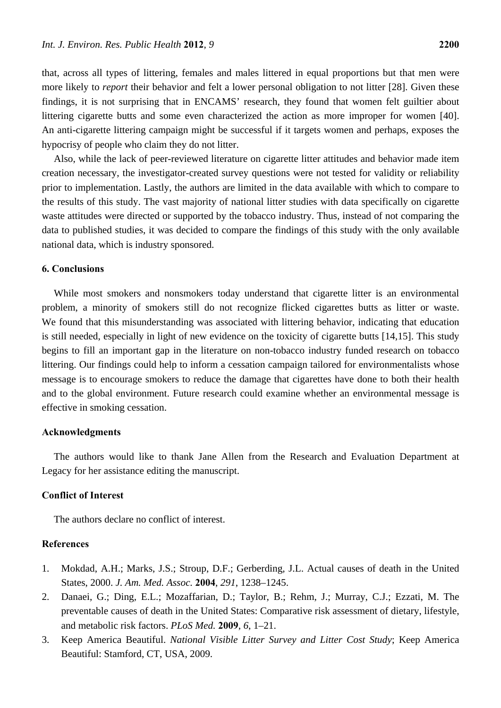that, across all types of littering, females and males littered in equal proportions but that men were more likely to *report* their behavior and felt a lower personal obligation to not litter [28]. Given these findings, it is not surprising that in ENCAMS' research, they found that women felt guiltier about littering cigarette butts and some even characterized the action as more improper for women [40]. An anti-cigarette littering campaign might be successful if it targets women and perhaps, exposes the hypocrisy of people who claim they do not litter.

Also, while the lack of peer-reviewed literature on cigarette litter attitudes and behavior made item creation necessary, the investigator-created survey questions were not tested for validity or reliability prior to implementation. Lastly, the authors are limited in the data available with which to compare to the results of this study. The vast majority of national litter studies with data specifically on cigarette waste attitudes were directed or supported by the tobacco industry. Thus, instead of not comparing the data to published studies, it was decided to compare the findings of this study with the only available national data, which is industry sponsored.

## **6. Conclusions**

While most smokers and nonsmokers today understand that cigarette litter is an environmental problem, a minority of smokers still do not recognize flicked cigarettes butts as litter or waste. We found that this misunderstanding was associated with littering behavior, indicating that education is still needed, especially in light of new evidence on the toxicity of cigarette butts [14,15]. This study begins to fill an important gap in the literature on non-tobacco industry funded research on tobacco littering. Our findings could help to inform a cessation campaign tailored for environmentalists whose message is to encourage smokers to reduce the damage that cigarettes have done to both their health and to the global environment. Future research could examine whether an environmental message is effective in smoking cessation.

#### **Acknowledgments**

The authors would like to thank Jane Allen from the Research and Evaluation Department at Legacy for her assistance editing the manuscript.

#### **Conflict of Interest**

The authors declare no conflict of interest.

# **References**

- 1. Mokdad, A.H.; Marks, J.S.; Stroup, D.F.; Gerberding, J.L. Actual causes of death in the United States, 2000. *J. Am. Med. Assoc.* **2004**, *291*, 1238–1245.
- 2. Danaei, G.; Ding, E.L.; Mozaffarian, D.; Taylor, B.; Rehm, J.; Murray, C.J.; Ezzati, M. The preventable causes of death in the United States: Comparative risk assessment of dietary, lifestyle, and metabolic risk factors. *PLoS Med.* **2009**, *6*, 1–21.
- 3. Keep America Beautiful. *National Visible Litter Survey and Litter Cost Study*; Keep America Beautiful: Stamford, CT, USA, 2009.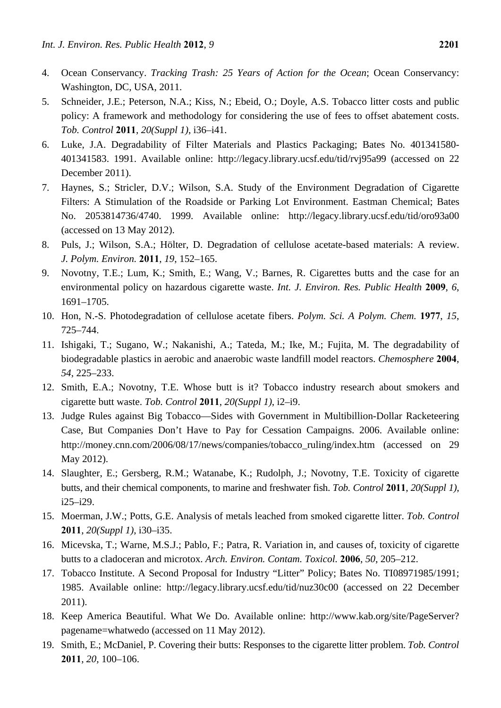- 4. Ocean Conservancy. *Tracking Trash: 25 Years of Action for the Ocean*; Ocean Conservancy: Washington, DC, USA, 2011.
- 5. Schneider, J.E.; Peterson, N.A.; Kiss, N.; Ebeid, O.; Doyle, A.S. Tobacco litter costs and public policy: A framework and methodology for considering the use of fees to offset abatement costs. *Tob. Control* **2011**, *20(Suppl 1)*, i36–i41.
- 6. Luke, J.A. Degradability of Filter Materials and Plastics Packaging; Bates No. 401341580- 401341583. 1991. Available online: http://legacy.library.ucsf.edu/tid/rvj95a99 (accessed on 22 December 2011).
- 7. Haynes, S.; Stricler, D.V.; Wilson, S.A. Study of the Environment Degradation of Cigarette Filters: A Stimulation of the Roadside or Parking Lot Environment. Eastman Chemical; Bates No. 2053814736/4740. 1999. Available online: http://legacy.library.ucsf.edu/tid/oro93a00 (accessed on 13 May 2012).
- 8. Puls, J.; Wilson, S.A.; Hölter, D. Degradation of cellulose acetate-based materials: A review. *J. Polym. Environ.* **2011**, *19*, 152–165.
- 9. Novotny, T.E.; Lum, K.; Smith, E.; Wang, V.; Barnes, R. Cigarettes butts and the case for an environmental policy on hazardous cigarette waste. *Int. J. Environ. Res. Public Health* **2009**, *6*, 1691–1705.
- 10. Hon, N.-S. Photodegradation of cellulose acetate fibers. *Polym. Sci. A Polym. Chem.* **1977**, *15*, 725–744.
- 11. Ishigaki, T.; Sugano, W.; Nakanishi, A.; Tateda, M.; Ike, M.; Fujita, M. The degradability of biodegradable plastics in aerobic and anaerobic waste landfill model reactors. *Chemosphere* **2004**, *54*, 225–233.
- 12. Smith, E.A.; Novotny, T.E. Whose butt is it? Tobacco industry research about smokers and cigarette butt waste. *Tob. Control* **2011**, *20(Suppl 1)*, i2–i9.
- 13. Judge Rules against Big Tobacco—Sides with Government in Multibillion-Dollar Racketeering Case, But Companies Don't Have to Pay for Cessation Campaigns. 2006. Available online: http://money.cnn.com/2006/08/17/news/companies/tobacco\_ruling/index.htm (accessed on 29 May 2012).
- 14. Slaughter, E.; Gersberg, R.M.; Watanabe, K.; Rudolph, J.; Novotny, T.E. Toxicity of cigarette butts, and their chemical components, to marine and freshwater fish. *Tob. Control* **2011**, *20(Suppl 1)*, i25–i29.
- 15. Moerman, J.W.; Potts, G.E. Analysis of metals leached from smoked cigarette litter. *Tob. Control*  **2011**, *20(Suppl 1)*, i30–i35.
- 16. Micevska, T.; Warne, M.S.J.; Pablo, F.; Patra, R. Variation in, and causes of, toxicity of cigarette butts to a cladoceran and microtox. *Arch. Environ. Contam. Toxicol.* **2006**, *50*, 205–212.
- 17. Tobacco Institute. A Second Proposal for Industry "Litter" Policy; Bates No. TI08971985/1991; 1985. Available online: http://legacy.library.ucsf.edu/tid/nuz30c00 (accessed on 22 December 2011).
- 18. Keep America Beautiful. What We Do. Available online: http://www.kab.org/site/PageServer? pagename=whatwedo (accessed on 11 May 2012).
- 19. Smith, E.; McDaniel, P. Covering their butts: Responses to the cigarette litter problem. *Tob. Control*  **2011**, *20*, 100–106.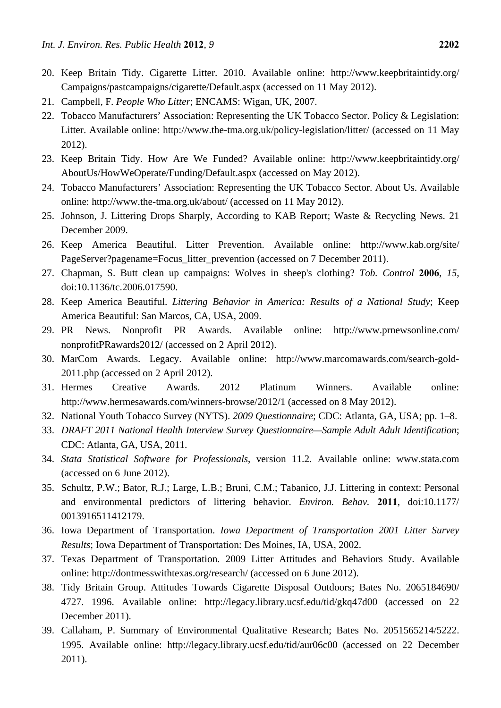- 20. Keep Britain Tidy. Cigarette Litter. 2010. Available online: http://www.keepbritaintidy.org/ Campaigns/pastcampaigns/cigarette/Default.aspx (accessed on 11 May 2012).
- 21. Campbell, F. *People Who Litter*; ENCAMS: Wigan, UK, 2007.
- 22. Tobacco Manufacturers' Association: Representing the UK Tobacco Sector. Policy & Legislation: Litter. Available online: http://www.the-tma.org.uk/policy-legislation/litter/ (accessed on 11 May 2012).
- 23. Keep Britain Tidy. How Are We Funded? Available online: http://www.keepbritaintidy.org/ AboutUs/HowWeOperate/Funding/Default.aspx (accessed on May 2012).
- 24. Tobacco Manufacturers' Association: Representing the UK Tobacco Sector. About Us. Available online: http://www.the-tma.org.uk/about/ (accessed on 11 May 2012).
- 25. Johnson, J. Littering Drops Sharply, According to KAB Report; Waste & Recycling News. 21 December 2009.
- 26. Keep America Beautiful. Litter Prevention. Available online: http://www.kab.org/site/ PageServer?pagename=Focus\_litter\_prevention (accessed on 7 December 2011).
- 27. Chapman, S. Butt clean up campaigns: Wolves in sheep's clothing? *Tob. Control* **2006**, *15*, doi:10.1136/tc.2006.017590.
- 28. Keep America Beautiful. *Littering Behavior in America: Results of a National Study*; Keep America Beautiful: San Marcos, CA, USA, 2009.
- 29. PR News. Nonprofit PR Awards. Available online: http://www.prnewsonline.com/ nonprofitPRawards2012/ (accessed on 2 April 2012).
- 30. MarCom Awards. Legacy. Available online: http://www.marcomawards.com/search-gold-2011.php (accessed on 2 April 2012).
- 31. Hermes Creative Awards. 2012 Platinum Winners. Available online: http://www.hermesawards.com/winners-browse/2012/1 (accessed on 8 May 2012).
- 32. National Youth Tobacco Survey (NYTS). *2009 Questionnaire*; CDC: Atlanta, GA, USA; pp. 1–8.
- 33. *DRAFT 2011 National Health Interview Survey Questionnaire—Sample Adult Adult Identification*; CDC: Atlanta, GA, USA, 2011.
- 34. *Stata Statistical Software for Professionals*, version 11.2. Available online: www.stata.com (accessed on 6 June 2012).
- 35. Schultz, P.W.; Bator, R.J.; Large, L.B.; Bruni, C.M.; Tabanico, J.J. Littering in context: Personal and environmental predictors of littering behavior. *Environ. Behav.* **2011**, doi:10.1177/ 0013916511412179.
- 36. Iowa Department of Transportation. *Iowa Department of Transportation 2001 Litter Survey Results*; Iowa Department of Transportation: Des Moines, IA, USA, 2002.
- 37. Texas Department of Transportation. 2009 Litter Attitudes and Behaviors Study. Available online: http://dontmesswithtexas.org/research/ (accessed on 6 June 2012).
- 38. Tidy Britain Group. Attitudes Towards Cigarette Disposal Outdoors; Bates No. 2065184690/ 4727. 1996. Available online: http://legacy.library.ucsf.edu/tid/gkq47d00 (accessed on 22 December 2011).
- 39. Callaham, P. Summary of Environmental Qualitative Research; Bates No. 2051565214/5222. 1995. Available online: http://legacy.library.ucsf.edu/tid/aur06c00 (accessed on 22 December 2011).